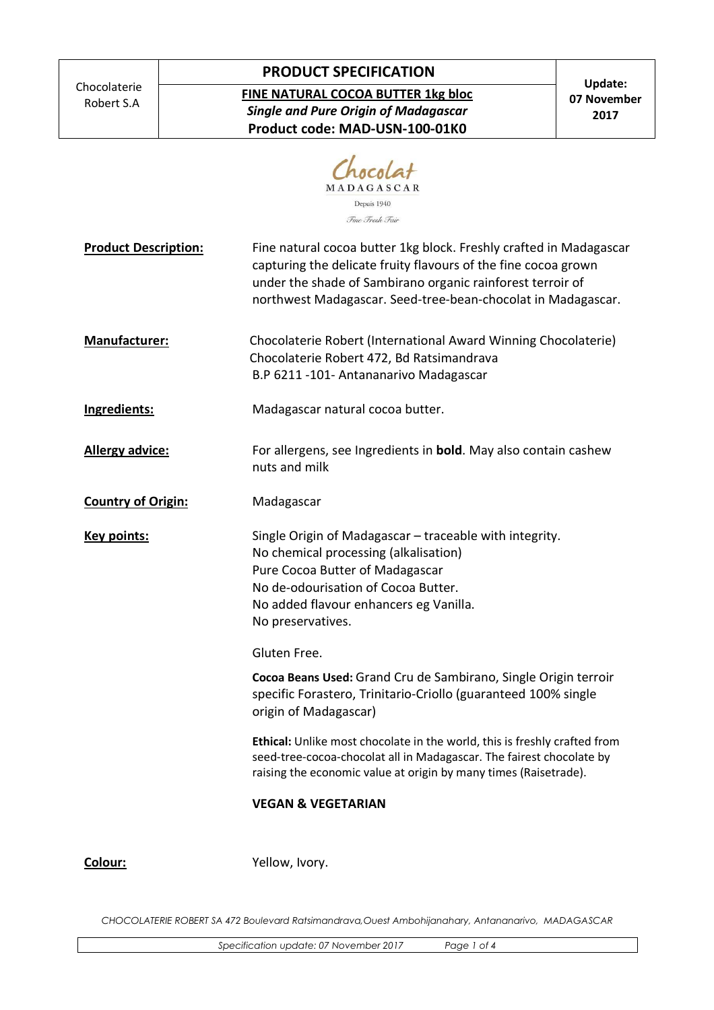Chocolaterie Robert S.A

## **PRODUCT SPECIFICATION**

**FINE NATURAL COCOA BUTTER 1kg bloc**  *Single and Pure Origin of Madagascar*  **Product code: MAD-USN-100-01K0** 

|                             | MADAGASCAR<br>Depuis 1940<br>Fine Fresh Fair                                                                                                                                                                                                                       |
|-----------------------------|--------------------------------------------------------------------------------------------------------------------------------------------------------------------------------------------------------------------------------------------------------------------|
| <b>Product Description:</b> | Fine natural cocoa butter 1kg block. Freshly crafted in Madagascar<br>capturing the delicate fruity flavours of the fine cocoa grown<br>under the shade of Sambirano organic rainforest terroir of<br>northwest Madagascar. Seed-tree-bean-chocolat in Madagascar. |
| Manufacturer:               | Chocolaterie Robert (International Award Winning Chocolaterie)<br>Chocolaterie Robert 472, Bd Ratsimandrava<br>B.P 6211 -101- Antananarivo Madagascar                                                                                                              |
| Ingredients:                | Madagascar natural cocoa butter.                                                                                                                                                                                                                                   |
| <b>Allergy advice:</b>      | For allergens, see Ingredients in <b>bold</b> . May also contain cashew<br>nuts and milk                                                                                                                                                                           |
| <b>Country of Origin:</b>   | Madagascar                                                                                                                                                                                                                                                         |
| <b>Key points:</b>          | Single Origin of Madagascar - traceable with integrity.<br>No chemical processing (alkalisation)<br>Pure Cocoa Butter of Madagascar<br>No de-odourisation of Cocoa Butter.<br>No added flavour enhancers eg Vanilla.<br>No preservatives.                          |
|                             | Gluten Free.                                                                                                                                                                                                                                                       |
|                             | Cocoa Beans Used: Grand Cru de Sambirano, Single Origin terroir<br>specific Forastero, Trinitario-Criollo (guaranteed 100% single<br>origin of Madagascar)                                                                                                         |
|                             | Ethical: Unlike most chocolate in the world, this is freshly crafted from<br>seed-tree-cocoa-chocolat all in Madagascar. The fairest chocolate by<br>raising the economic value at origin by many times (Raisetrade).                                              |
|                             | <b>VEGAN &amp; VEGETARIAN</b>                                                                                                                                                                                                                                      |

**Colour:** Yellow, Ivory.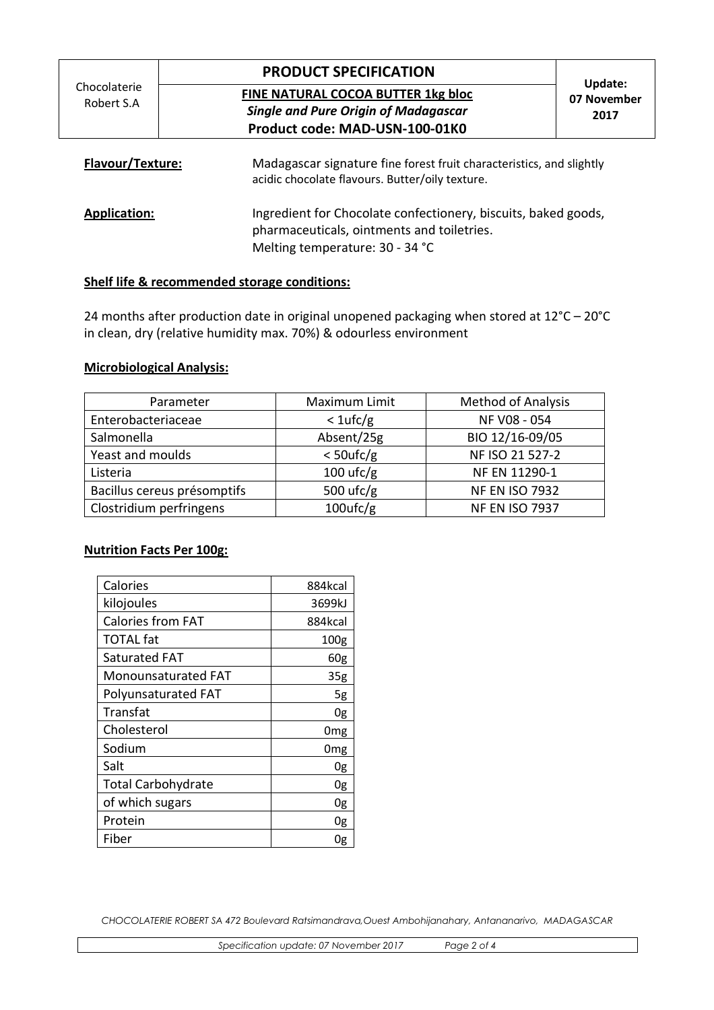# **PRODUCT SPECIFICATION**

**FINE NATURAL COCOA BUTTER 1kg bloc**  *Single and Pure Origin of Madagascar*  **Product code: MAD-USN-100-01K0** 

### **Update: 07 November 2017**

| <b>Flavour/Texture:</b> | Madagascar signature fine forest fruit characteristics, and slightly<br>acidic chocolate flavours. Butter/oily texture.                         |
|-------------------------|-------------------------------------------------------------------------------------------------------------------------------------------------|
| <b>Application:</b>     | Ingredient for Chocolate confectionery, biscuits, baked goods,<br>pharmaceuticals, ointments and toiletries.<br>Melting temperature: 30 - 34 °C |

### **Shelf life & recommended storage conditions:**

24 months after production date in original unopened packaging when stored at 12°C – 20°C in clean, dry (relative humidity max. 70%) & odourless environment

### **Microbiological Analysis:**

| Parameter                   | Maximum Limit | <b>Method of Analysis</b> |
|-----------------------------|---------------|---------------------------|
| Enterobacteriaceae          | $<1$ ufc/g    | NF V08 - 054              |
| Salmonella                  | Absent/25g    | BIO 12/16-09/05           |
| Yeast and moulds            | $<$ 50ufc/g   | NF ISO 21 527-2           |
| Listeria                    | $100$ ufc/g   | NF EN 11290-1             |
| Bacillus cereus présomptifs | 500 $ufc/g$   | <b>NF EN ISO 7932</b>     |
| Clostridium perfringens     | $100$ ufc/g   | <b>NF EN ISO 7937</b>     |

### **Nutrition Facts Per 100g:**

| Calories                  | 884kcal          |
|---------------------------|------------------|
| kilojoules                | 3699kJ           |
| <b>Calories from FAT</b>  | 884kcal          |
| <b>TOTAL fat</b>          | 100 <sub>g</sub> |
| Saturated FAT             | 60g              |
| Monounsaturated FAT       | 35 <sub>g</sub>  |
| Polyunsaturated FAT       | 5g               |
| Transfat                  | 0g               |
| Cholesterol               | 0mg              |
| Sodium                    | 0 <sub>mg</sub>  |
| Salt                      | 0g               |
| <b>Total Carbohydrate</b> | 0g               |
| of which sugars           | 0g               |
| Protein                   | 0g               |
| Fiber                     | Ug               |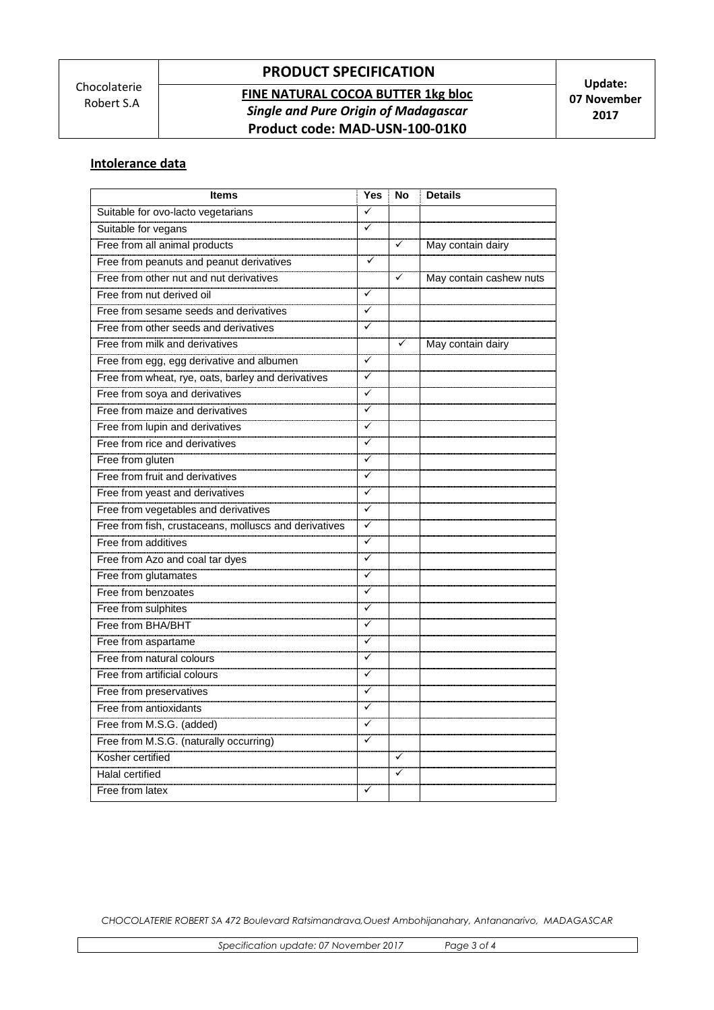# **PRODUCT SPECIFICATION**

## **FINE NATURAL COCOA BUTTER 1kg bloc**  *Single and Pure Origin of Madagascar*  **Product code: MAD-USN-100-01K0**

### **Intolerance data**

| <b>Items</b>                                          | Yes                     | No           | <b>Details</b>          |
|-------------------------------------------------------|-------------------------|--------------|-------------------------|
| Suitable for ovo-lacto vegetarians                    | $\checkmark$            |              |                         |
| Suitable for vegans                                   | ✓                       |              |                         |
| Free from all animal products                         |                         | $\checkmark$ | May contain dairy       |
| Free from peanuts and peanut derivatives              | ✓                       |              |                         |
| Free from other nut and nut derivatives               |                         | $\checkmark$ | May contain cashew nuts |
| Free from nut derived oil                             | ✓                       |              |                         |
| Free from sesame seeds and derivatives                | ✓                       |              |                         |
| Free from other seeds and derivatives                 | ✓                       |              |                         |
| Free from milk and derivatives                        |                         | ✓            | May contain dairy       |
| Free from egg, egg derivative and albumen             | ✓                       |              |                         |
| Free from wheat, rye, oats, barley and derivatives    | ✓                       |              |                         |
| Free from soya and derivatives                        | ✓                       |              |                         |
| Free from maize and derivatives                       | ✓                       |              |                         |
| Free from lupin and derivatives                       | ✓                       |              |                         |
| Free from rice and derivatives                        | ✓                       |              |                         |
| Free from gluten                                      | ✓                       |              |                         |
| <b>Free from fruit and derivatives</b>                | ✓                       |              |                         |
| Free from yeast and derivatives                       | ✓                       |              |                         |
| Free from vegetables and derivatives                  | ✓                       |              |                         |
| Free from fish, crustaceans, molluscs and derivatives | ✓                       |              |                         |
| Free from additives                                   | ✓                       |              |                         |
| Free from Azo and coal tar dyes                       | ✓                       |              |                         |
| Free from glutamates                                  | ✓                       |              |                         |
| Free from benzoates                                   | ✓                       |              |                         |
| Free from sulphites                                   | ✓                       |              |                         |
| Free from BHA/BHT                                     | ✓                       |              |                         |
| Free from aspartame                                   | ✓                       |              |                         |
| Free from natural colours                             | ✓                       |              |                         |
| Free from artificial colours                          | ✓                       |              |                         |
| Free from preservatives                               | ✓                       |              |                         |
| <b>Free from antioxidants</b>                         | ✓                       |              |                         |
| Free from M.S.G. (added)                              | $\checkmark$            |              |                         |
| Free from M.S.G. (naturally occurring)                | $\overline{\checkmark}$ |              |                         |
| Kosher certified                                      |                         | ✓            |                         |
| <b>Halal certified</b>                                |                         | 7            |                         |
| Free from latex                                       | $\checkmark$            |              |                         |